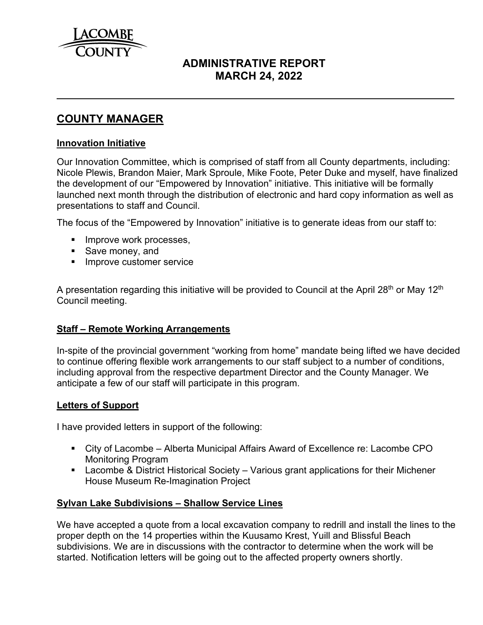

# **ADMINISTRATIVE REPORT MARCH 24, 2022**

# **COUNTY MANAGER**

### **Innovation Initiative**

 $\overline{a}$ 

Our Innovation Committee, which is comprised of staff from all County departments, including: Nicole Plewis, Brandon Maier, Mark Sproule, Mike Foote, Peter Duke and myself, have finalized the development of our "Empowered by Innovation" initiative. This initiative will be formally launched next month through the distribution of electronic and hard copy information as well as presentations to staff and Council.

The focus of the "Empowered by Innovation" initiative is to generate ideas from our staff to:

- **Improve work processes,**
- Save money, and
- **Improve customer service**

A presentation regarding this initiative will be provided to Council at the April 28<sup>th</sup> or May 12<sup>th</sup> Council meeting.

# **Staff – Remote Working Arrangements**

In-spite of the provincial government "working from home" mandate being lifted we have decided to continue offering flexible work arrangements to our staff subject to a number of conditions, including approval from the respective department Director and the County Manager. We anticipate a few of our staff will participate in this program.

### **Letters of Support**

I have provided letters in support of the following:

- City of Lacombe Alberta Municipal Affairs Award of Excellence re: Lacombe CPO Monitoring Program
- Lacombe & District Historical Society Various grant applications for their Michener House Museum Re-Imagination Project

### **Sylvan Lake Subdivisions – Shallow Service Lines**

We have accepted a quote from a local excavation company to redrill and install the lines to the proper depth on the 14 properties within the Kuusamo Krest, Yuill and Blissful Beach subdivisions. We are in discussions with the contractor to determine when the work will be started. Notification letters will be going out to the affected property owners shortly.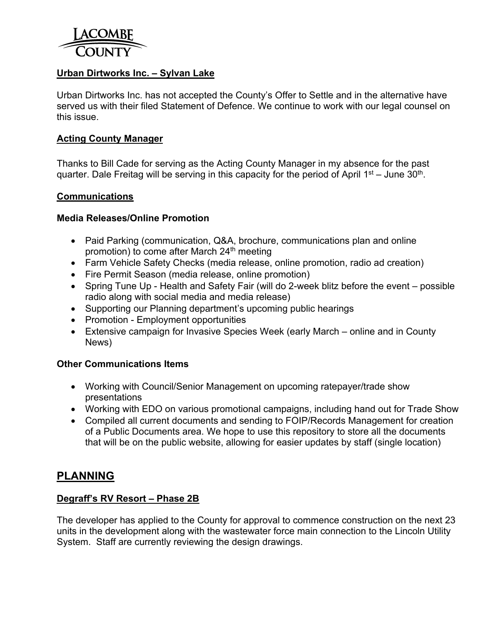

### **Urban Dirtworks Inc. – Sylvan Lake**

Urban Dirtworks Inc. has not accepted the County's Offer to Settle and in the alternative have served us with their filed Statement of Defence. We continue to work with our legal counsel on this issue.

#### **Acting County Manager**

Thanks to Bill Cade for serving as the Acting County Manager in my absence for the past quarter. Dale Freitag will be serving in this capacity for the period of April  $1<sup>st</sup>$  – June 30<sup>th</sup>.

#### **Communications**

#### **Media Releases/Online Promotion**

- Paid Parking (communication, Q&A, brochure, communications plan and online promotion) to come after March  $24<sup>th</sup>$  meeting
- Farm Vehicle Safety Checks (media release, online promotion, radio ad creation)
- Fire Permit Season (media release, online promotion)
- Spring Tune Up Health and Safety Fair (will do 2-week blitz before the event possible radio along with social media and media release)
- Supporting our Planning department's upcoming public hearings
- Promotion Employment opportunities
- Extensive campaign for Invasive Species Week (early March online and in County News)

#### **Other Communications Items**

- Working with Council/Senior Management on upcoming ratepayer/trade show presentations
- Working with EDO on various promotional campaigns, including hand out for Trade Show
- Compiled all current documents and sending to FOIP/Records Management for creation of a Public Documents area. We hope to use this repository to store all the documents that will be on the public website, allowing for easier updates by staff (single location)

# **PLANNING**

### **Degraff's RV Resort – Phase 2B**

The developer has applied to the County for approval to commence construction on the next 23 units in the development along with the wastewater force main connection to the Lincoln Utility System. Staff are currently reviewing the design drawings.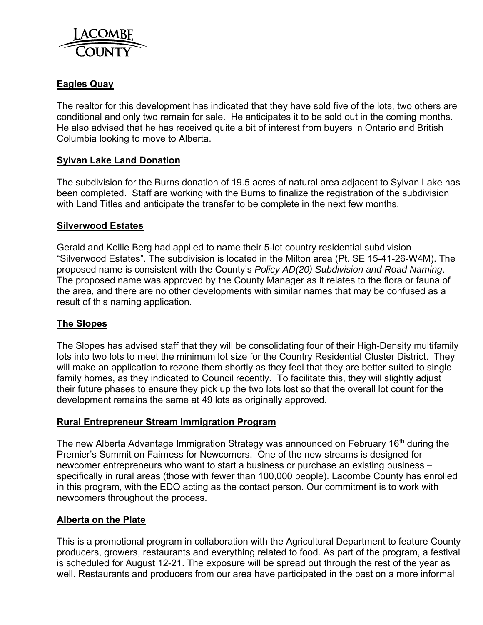

# **Eagles Quay**

The realtor for this development has indicated that they have sold five of the lots, two others are conditional and only two remain for sale. He anticipates it to be sold out in the coming months. He also advised that he has received quite a bit of interest from buyers in Ontario and British Columbia looking to move to Alberta.

#### **Sylvan Lake Land Donation**

The subdivision for the Burns donation of 19.5 acres of natural area adjacent to Sylvan Lake has been completed. Staff are working with the Burns to finalize the registration of the subdivision with Land Titles and anticipate the transfer to be complete in the next few months.

#### **Silverwood Estates**

Gerald and Kellie Berg had applied to name their 5-lot country residential subdivision "Silverwood Estates". The subdivision is located in the Milton area (Pt. SE 15-41-26-W4M). The proposed name is consistent with the County's *Policy AD(20) Subdivision and Road Naming*. The proposed name was approved by the County Manager as it relates to the flora or fauna of the area, and there are no other developments with similar names that may be confused as a result of this naming application.

### **The Slopes**

The Slopes has advised staff that they will be consolidating four of their High-Density multifamily lots into two lots to meet the minimum lot size for the Country Residential Cluster District. They will make an application to rezone them shortly as they feel that they are better suited to single family homes, as they indicated to Council recently. To facilitate this, they will slightly adjust their future phases to ensure they pick up the two lots lost so that the overall lot count for the development remains the same at 49 lots as originally approved.

#### **Rural Entrepreneur Stream Immigration Program**

The new Alberta Advantage Immigration Strategy was announced on February 16<sup>th</sup> during the Premier's Summit on Fairness for Newcomers. One of the new streams is designed for newcomer entrepreneurs who want to start a business or purchase an existing business – specifically in rural areas (those with fewer than 100,000 people). Lacombe County has enrolled in this program, with the EDO acting as the contact person. Our commitment is to work with newcomers throughout the process.

### **Alberta on the Plate**

This is a promotional program in collaboration with the Agricultural Department to feature County producers, growers, restaurants and everything related to food. As part of the program, a festival is scheduled for August 12-21. The exposure will be spread out through the rest of the year as well. Restaurants and producers from our area have participated in the past on a more informal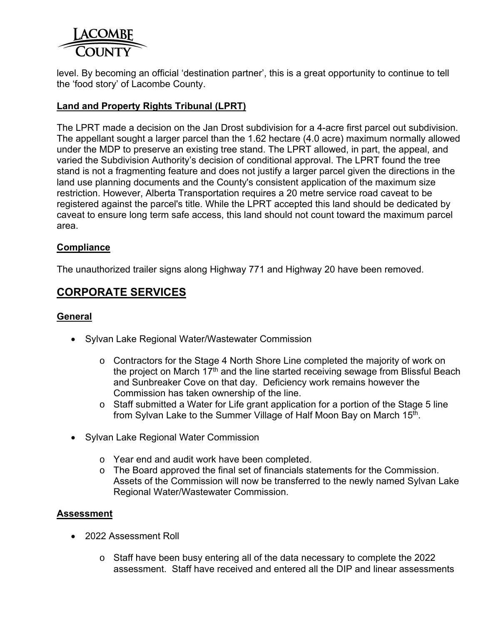

level. By becoming an official 'destination partner', this is a great opportunity to continue to tell the 'food story' of Lacombe County.

### **Land and Property Rights Tribunal (LPRT)**

The LPRT made a decision on the Jan Drost subdivision for a 4-acre first parcel out subdivision. The appellant sought a larger parcel than the 1.62 hectare (4.0 acre) maximum normally allowed under the MDP to preserve an existing tree stand. The LPRT allowed, in part, the appeal, and varied the Subdivision Authority's decision of conditional approval. The LPRT found the tree stand is not a fragmenting feature and does not justify a larger parcel given the directions in the land use planning documents and the County's consistent application of the maximum size restriction. However, Alberta Transportation requires a 20 metre service road caveat to be registered against the parcel's title. While the LPRT accepted this land should be dedicated by caveat to ensure long term safe access, this land should not count toward the maximum parcel area.

### **Compliance**

The unauthorized trailer signs along Highway 771 and Highway 20 have been removed.

# **CORPORATE SERVICES**

### **General**

- Sylvan Lake Regional Water/Wastewater Commission
	- o Contractors for the Stage 4 North Shore Line completed the majority of work on the project on March  $17<sup>th</sup>$  and the line started receiving sewage from Blissful Beach and Sunbreaker Cove on that day. Deficiency work remains however the Commission has taken ownership of the line.
	- o Staff submitted a Water for Life grant application for a portion of the Stage 5 line from Sylvan Lake to the Summer Village of Half Moon Bay on March 15<sup>th</sup>.
- Sylvan Lake Regional Water Commission
	- o Year end and audit work have been completed.
	- o The Board approved the final set of financials statements for the Commission. Assets of the Commission will now be transferred to the newly named Sylvan Lake Regional Water/Wastewater Commission.

# **Assessment**

- 2022 Assessment Roll
	- $\circ$  Staff have been busy entering all of the data necessary to complete the 2022 assessment. Staff have received and entered all the DIP and linear assessments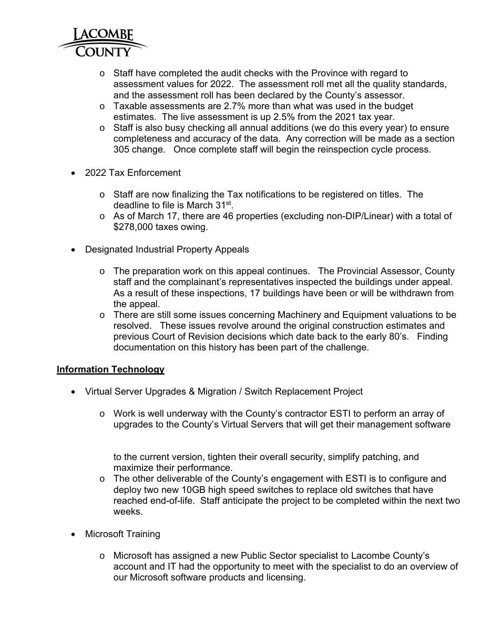

- o Staff have completed the audit checks with the Province with regard to assessment values for 2022. The assessment roll met all the quality standards, and the assessment roll has been declared by the County's assessor.
- $\circ$  Taxable assessments are 2.7% more than what was used in the budget estimates. The live assessment is up 2.5% from the 2021 tax year.
- $\circ$  Staff is also busy checking all annual additions (we do this every year) to ensure completeness and accuracy of the data. Any correction will be made as a section 305 change. Once complete staff will begin the reinspection cycle process.
- 2022 Tax Enforcement
	- o Staff are now finalizing the Tax notifications to be registered on titles. The deadline to file is March 31st.
	- o As of March 17, there are 46 properties (excluding non-DIP/Linear) with a total of \$278,000 taxes owing.
- Designated Industrial Property Appeals
	- o The preparation work on this appeal continues. The Provincial Assessor, County staff and the complainant's representatives inspected the buildings under appeal. As a result of these inspections, 17 buildings have been or will be withdrawn from the appeal.
	- o There are still some issues concerning Machinery and Equipment valuations to be resolved. These issues revolve around the original construction estimates and previous Court of Revision decisions which date back to the early 80's. Finding documentation on this history has been part of the challenge.

# **Information Technology**

- Virtual Server Upgrades & Migration / Switch Replacement Project
	- o Work is well underway with the County's contractor ESTI to perform an array of upgrades to the County's Virtual Servers that will get their management software

to the current version, tighten their overall security, simplify patching, and maximize their performance.

- o The other deliverable of the County's engagement with ESTI is to configure and deploy two new 10GB high speed switches to replace old switches that have reached end-of-life. Staff anticipate the project to be completed within the next two weeks.
- Microsoft Training
	- o Microsoft has assigned a new Public Sector specialist to Lacombe County's account and IT had the opportunity to meet with the specialist to do an overview of our Microsoft software products and licensing.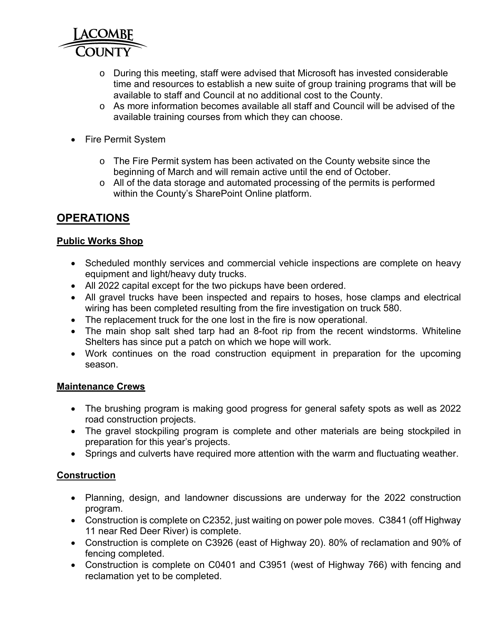

- o During this meeting, staff were advised that Microsoft has invested considerable time and resources to establish a new suite of group training programs that will be available to staff and Council at no additional cost to the County.
- $\circ$  As more information becomes available all staff and Council will be advised of the available training courses from which they can choose.
- Fire Permit System
	- o The Fire Permit system has been activated on the County website since the beginning of March and will remain active until the end of October.
	- o All of the data storage and automated processing of the permits is performed within the County's SharePoint Online platform.

# **OPERATIONS**

# **Public Works Shop**

- Scheduled monthly services and commercial vehicle inspections are complete on heavy equipment and light/heavy duty trucks.
- All 2022 capital except for the two pickups have been ordered.
- All gravel trucks have been inspected and repairs to hoses, hose clamps and electrical wiring has been completed resulting from the fire investigation on truck 580.
- The replacement truck for the one lost in the fire is now operational.
- The main shop salt shed tarp had an 8-foot rip from the recent windstorms. Whiteline Shelters has since put a patch on which we hope will work.
- Work continues on the road construction equipment in preparation for the upcoming season.

# **Maintenance Crews**

- The brushing program is making good progress for general safety spots as well as 2022 road construction projects.
- The gravel stockpiling program is complete and other materials are being stockpiled in preparation for this year's projects.
- Springs and culverts have required more attention with the warm and fluctuating weather.

# **Construction**

- Planning, design, and landowner discussions are underway for the 2022 construction program.
- Construction is complete on C2352, just waiting on power pole moves. C3841 (off Highway 11 near Red Deer River) is complete.
- Construction is complete on C3926 (east of Highway 20). 80% of reclamation and 90% of fencing completed.
- Construction is complete on C0401 and C3951 (west of Highway 766) with fencing and reclamation yet to be completed.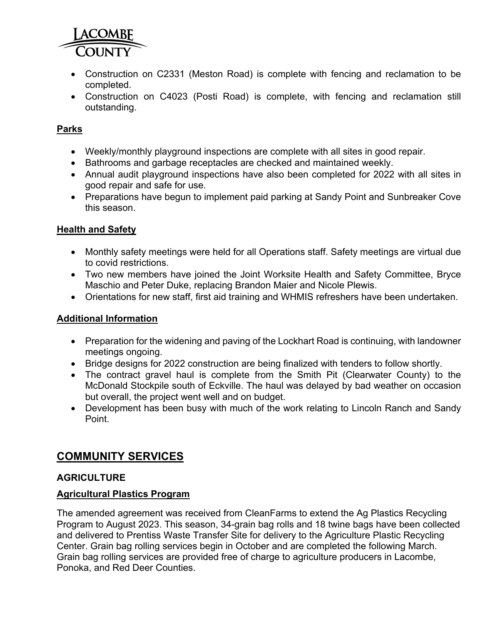

- Construction on C2331 (Meston Road) is complete with fencing and reclamation to be completed.
- Construction on C4023 (Posti Road) is complete, with fencing and reclamation still outstanding.

# **Parks**

- Weekly/monthly playground inspections are complete with all sites in good repair.
- Bathrooms and garbage receptacles are checked and maintained weekly.
- Annual audit playground inspections have also been completed for 2022 with all sites in good repair and safe for use.
- Preparations have begun to implement paid parking at Sandy Point and Sunbreaker Cove this season.

# **Health and Safety**

- Monthly safety meetings were held for all Operations staff. Safety meetings are virtual due to covid restrictions.
- Two new members have joined the Joint Worksite Health and Safety Committee, Bryce Maschio and Peter Duke, replacing Brandon Maier and Nicole Plewis.
- Orientations for new staff, first aid training and WHMIS refreshers have been undertaken.

# **Additional Information**

- Preparation for the widening and paving of the Lockhart Road is continuing, with landowner meetings ongoing.
- Bridge designs for 2022 construction are being finalized with tenders to follow shortly.
- The contract gravel haul is complete from the Smith Pit (Clearwater County) to the McDonald Stockpile south of Eckville. The haul was delayed by bad weather on occasion but overall, the project went well and on budget.
- Development has been busy with much of the work relating to Lincoln Ranch and Sandy Point.

# **COMMUNITY SERVICES**

# **AGRICULTURE**

# **Agricultural Plastics Program**

The amended agreement was received from CleanFarms to extend the Ag Plastics Recycling Program to August 2023. This season, 34-grain bag rolls and 18 twine bags have been collected and delivered to Prentiss Waste Transfer Site for delivery to the Agriculture Plastic Recycling Center. Grain bag rolling services begin in October and are completed the following March. Grain bag rolling services are provided free of charge to agriculture producers in Lacombe, Ponoka, and Red Deer Counties.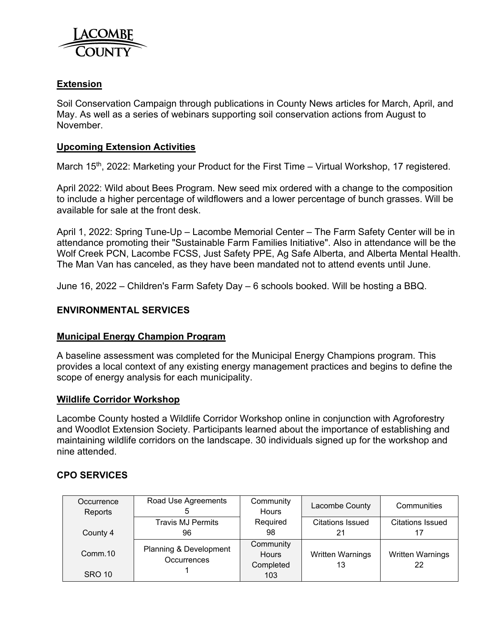

# **Extension**

Soil Conservation Campaign through publications in County News articles for March, April, and May. As well as a series of webinars supporting soil conservation actions from August to November.

### **Upcoming Extension Activities**

March 15<sup>th</sup>, 2022: Marketing your Product for the First Time – Virtual Workshop, 17 registered.

April 2022: Wild about Bees Program. New seed mix ordered with a change to the composition to include a higher percentage of wildflowers and a lower percentage of bunch grasses. Will be available for sale at the front desk.

April 1, 2022: Spring Tune-Up – Lacombe Memorial Center – The Farm Safety Center will be in attendance promoting their "Sustainable Farm Families Initiative". Also in attendance will be the Wolf Creek PCN, Lacombe FCSS, Just Safety PPE, Ag Safe Alberta, and Alberta Mental Health. The Man Van has canceled, as they have been mandated not to attend events until June.

June 16, 2022 – Children's Farm Safety Day – 6 schools booked. Will be hosting a BBQ.

### **ENVIRONMENTAL SERVICES**

#### **Municipal Energy Champion Program**

A baseline assessment was completed for the Municipal Energy Champions program. This provides a local context of any existing energy management practices and begins to define the scope of energy analysis for each municipality.

#### **Wildlife Corridor Workshop**

Lacombe County hosted a Wildlife Corridor Workshop online in conjunction with Agroforestry and Woodlot Extension Society. Participants learned about the importance of establishing and maintaining wildlife corridors on the landscape. 30 individuals signed up for the workshop and nine attended.

### **CPO SERVICES**

| Occurrence<br>Reports | Road Use Agreements                   | Community<br>Hours                     | Lacombe County                | Communities                   |  |
|-----------------------|---------------------------------------|----------------------------------------|-------------------------------|-------------------------------|--|
|                       | <b>Travis MJ Permits</b>              | Required                               | <b>Citations Issued</b>       | <b>Citations Issued</b>       |  |
| County 4              | 96                                    | 98                                     | 21                            |                               |  |
| Comm.10               | Planning & Development<br>Occurrences | Community<br><b>Hours</b><br>Completed | <b>Written Warnings</b><br>13 | <b>Written Warnings</b><br>22 |  |
| <b>SRO 10</b>         |                                       | 103                                    |                               |                               |  |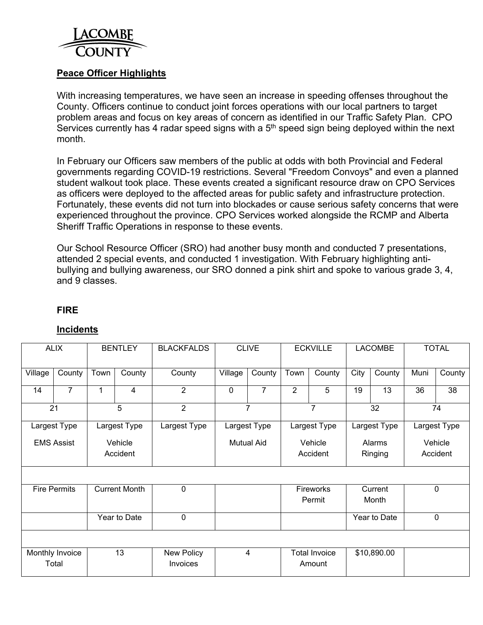

### **Peace Officer Highlights**

With increasing temperatures, we have seen an increase in speeding offenses throughout the County. Officers continue to conduct joint forces operations with our local partners to target problem areas and focus on key areas of concern as identified in our Traffic Safety Plan. CPO Services currently has 4 radar speed signs with a  $5<sup>th</sup>$  speed sign being deployed within the next month.

In February our Officers saw members of the public at odds with both Provincial and Federal governments regarding COVID-19 restrictions. Several "Freedom Convoys" and even a planned student walkout took place. These events created a significant resource draw on CPO Services as officers were deployed to the affected areas for public safety and infrastructure protection. Fortunately, these events did not turn into blockades or cause serious safety concerns that were experienced throughout the province. CPO Services worked alongside the RCMP and Alberta Sheriff Traffic Operations in response to these events.

Our School Resource Officer (SRO) had another busy month and conducted 7 presentations, attended 2 special events, and conducted 1 investigation. With February highlighting antibullying and bullying awareness, our SRO donned a pink shirt and spoke to various grade 3, 4, and 9 classes.

#### **FIRE**

### **Incidents**

| <b>ALIX</b>         |                              | <b>BENTLEY</b> |                      | <b>BLACKFALDS</b>             | <b>CLIVE</b>               |                | <b>ECKVILLE</b>                |              | <b>LACOMBE</b>    |              | <b>TOTAL</b>        |        |
|---------------------|------------------------------|----------------|----------------------|-------------------------------|----------------------------|----------------|--------------------------------|--------------|-------------------|--------------|---------------------|--------|
| Village             | County                       | Town           | County               | County                        | Village                    | County         | Town                           | County       | City              | County       | Muni                | County |
| 14                  | 7                            | 1              | 4                    | $\overline{2}$                | $\mathbf 0$                | $\overline{7}$ | 2                              | 5            | 19                | 13           | 36                  | 38     |
| $\overline{21}$     |                              | 5              |                      | $\overline{2}$                |                            | $\overline{7}$ | $\overline{7}$                 |              | 32                |              | $\overline{74}$     |        |
|                     | Largest Type<br>Largest Type |                | Largest Type         |                               | Largest Type               | Largest Type   |                                | Largest Type |                   | Largest Type |                     |        |
| <b>EMS Assist</b>   |                              |                | Vehicle<br>Accident  |                               | <b>Mutual Aid</b>          |                | Vehicle<br>Accident            |              | Alarms<br>Ringing |              | Vehicle<br>Accident |        |
|                     |                              |                |                      |                               |                            |                |                                |              |                   |              |                     |        |
| <b>Fire Permits</b> |                              |                | <b>Current Month</b> | 0                             | <b>Fireworks</b><br>Permit |                | Current<br>Month               |              | $\mathbf 0$       |              |                     |        |
| Year to Date        |                              |                | 0                    |                               |                            |                |                                |              | Year to Date      |              | $\mathbf 0$         |        |
|                     |                              |                |                      |                               |                            |                |                                |              |                   |              |                     |        |
|                     | Monthly Invoice<br>Total     |                | 13                   | New Policy<br><b>Invoices</b> |                            | 4              | <b>Total Invoice</b><br>Amount |              | \$10,890.00       |              |                     |        |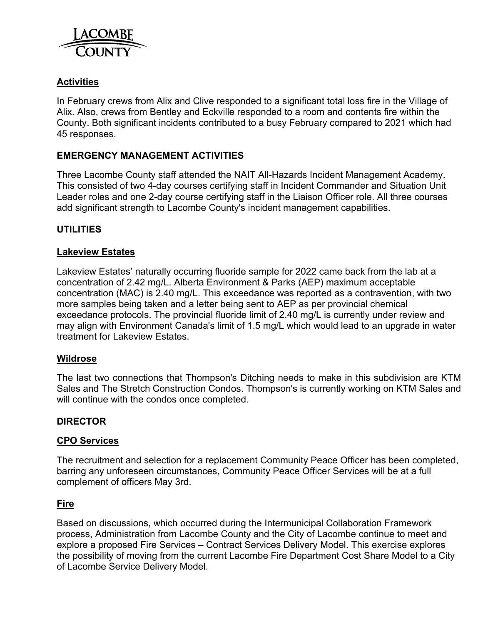

# **Activities**

In February crews from Alix and Clive responded to a significant total loss fire in the Village of Alix. Also, crews from Bentley and Eckville responded to a room and contents fire within the County. Both significant incidents contributed to a busy February compared to 2021 which had 45 responses.

### **EMERGENCY MANAGEMENT ACTIVITIES**

Three Lacombe County staff attended the NAIT All-Hazards Incident Management Academy. This consisted of two 4-day courses certifying staff in Incident Commander and Situation Unit Leader roles and one 2-day course certifying staff in the Liaison Officer role. All three courses add significant strength to Lacombe County's incident management capabilities.

### **UTILITIES**

#### **Lakeview Estates**

Lakeview Estates' naturally occurring fluoride sample for 2022 came back from the lab at a concentration of 2.42 mg/L. Alberta Environment & Parks (AEP) maximum acceptable concentration (MAC) is 2.40 mg/L. This exceedance was reported as a contravention, with two more samples being taken and a letter being sent to AEP as per provincial chemical exceedance protocols. The provincial fluoride limit of 2.40 mg/L is currently under review and may align with Environment Canada's limit of 1.5 mg/L which would lead to an upgrade in water treatment for Lakeview Estates.

#### **Wildrose**

The last two connections that Thompson's Ditching needs to make in this subdivision are KTM Sales and The Stretch Construction Condos. Thompson's is currently working on KTM Sales and will continue with the condos once completed.

#### **DIRECTOR**

#### **CPO Services**

The recruitment and selection for a replacement Community Peace Officer has been completed, barring any unforeseen circumstances, Community Peace Officer Services will be at a full complement of officers May 3rd.

#### **Fire**

Based on discussions, which occurred during the Intermunicipal Collaboration Framework process, Administration from Lacombe County and the City of Lacombe continue to meet and explore a proposed Fire Services – Contract Services Delivery Model. This exercise explores the possibility of moving from the current Lacombe Fire Department Cost Share Model to a City of Lacombe Service Delivery Model.